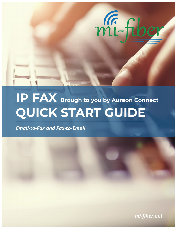

# **IP FAX Brough to you by Aureon Connect QUICK START GUIDE**

*Email-to-Fax and Fax-to-Email*

**11 mi-fiber.net**  $\frac{1}{2}$ *mi-fiber.net*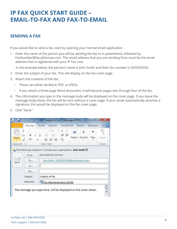## **IP FAX QUICK START GUIDE – EMAIL-TO-FAX AND FAX-TO-EMAIL**

#### **SENDING A FAX**

If you would like to send a fax, start by opening your normal email application.

1. Enter the name of the person you will be sending the fax to in parenthesis, followed by FaxNumber@fax.ipfaxnow.com. The email address that you are sending from must be the email address that is registered with your IP Fax Line.

In the example below, the person's name is John Smith and their fax number is 5555555555.

- 2. Enter the subject of your fax. This will display on the fax cover page.
- 3. Attach the contents of the fax.
	- These can either be Word, PDF, or JPEGs.
	- If you attach a three-page Word document, it will become pages two through four of the fax.
- 4. The information you type in the message body will be displayed on the cover page. If you leave the message body blank, the fax will be sent without a cover page. If your email automatically attaches a signature, this would be displayed on the fax cover page.
- 5. Click "Send."

| $\frac{G_{\rm{B}}}{\sqrt{2}}$<br>X |              | $-11$                                                                     | $A$ <sup><math>A</math></sup> | LD. | 10            | ۴    |      |
|------------------------------------|--------------|---------------------------------------------------------------------------|-------------------------------|-----|---------------|------|------|
| e,<br>Paste                        | 的· A-        | B I U   日 · 日 ·   建建<br>三三目 物                                             |                               |     | Names Include | Tags | Zoom |
| Clipboard                          | $\sqrt{2}$   | <b>Basic Text</b>                                                         | IS.                           |     |               |      | Zoom |
| $\frac{1}{2}$<br>Send              | From *<br>To | <b>Iowa Network Services</b><br>John Smith <55555555555@fax.ipfaxnow.com> |                               |     |               |      |      |
|                                    | Cc           |                                                                           |                               |     |               |      |      |
|                                    | <b>Bcc</b>   |                                                                           |                               |     |               |      |      |
|                                    | Subject:     | Subject of Fax                                                            |                               |     |               |      |      |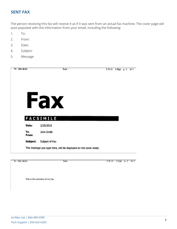#### **SENT FAX**

The person receiving this fax will receive it as if it was sent from an actual fax machine. The cover page will auto-populate with the information from your email, including the following:

- 1. To:
- 2. From:
- 3. Date:
- 4. Subject:
- 5. Message

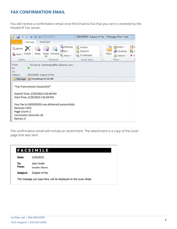#### **FAX CONFIRMATION EMAIL**

You will receive a confirmation email once the Email-to-Fax that you sent is received by the Hosted IP Fax server.

|                                   |                                                                                                        |                                                                                                                  | DELIVERED: Subject of Fax - Message (Plain Text) |                                                            |                   |  |  |  |
|-----------------------------------|--------------------------------------------------------------------------------------------------------|------------------------------------------------------------------------------------------------------------------|--------------------------------------------------|------------------------------------------------------------|-------------------|--|--|--|
| File                              | Message<br>Developer                                                                                   |                                                                                                                  |                                                  |                                                            |                   |  |  |  |
| Ignore<br>Junk - Delete<br>Delete | <b>CSIM</b><br>Reply<br>Forward<br>Reply<br>$A$ II<br>Respond                                          | Meeting<br>A <sub>2</sub> <sup>2</sup> Archive<br><sup>33</sup> SkitterTV<br>More -<br>To Manager<br>Quick Steps | ¥<br>Ų<br>Fa)                                    | Rules -<br>ነን<br>N OneNote<br>Move<br>al Actions *<br>Move | ON<br>He c<br>F F |  |  |  |
| From:<br>To:                      | Fax Server <donotreply@fax.ipfaxnow.com></donotreply@fax.ipfaxnow.com>                                 |                                                                                                                  |                                                  |                                                            |                   |  |  |  |
| Cc:<br>Subject:                   | DELIVERED: Subject of Fax                                                                              |                                                                                                                  |                                                  |                                                            |                   |  |  |  |
|                                   | Message   FaxedImage.tif (18 KB)                                                                       |                                                                                                                  |                                                  |                                                            |                   |  |  |  |
|                                   |                                                                                                        |                                                                                                                  |                                                  |                                                            |                   |  |  |  |
|                                   | *Fax Transmission Successful*<br>Submit Time: 2/25/2015 1:01:48 PM<br>Start Time: 2/25/2015 1:01:58 PM |                                                                                                                  |                                                  |                                                            |                   |  |  |  |
| Receiver CSID:                    | Your fax to 5555555555 was delivered successfully:                                                     |                                                                                                                  |                                                  |                                                            |                   |  |  |  |
| Page Count: 2                     |                                                                                                        |                                                                                                                  |                                                  |                                                            |                   |  |  |  |
|                                   | Connection Seconds: 30                                                                                 |                                                                                                                  |                                                  |                                                            |                   |  |  |  |

The confirmation email will include an attachment. The attachment is a copy of the cover page that was sent.

|              | <b>FACSIMILE</b>                                                 |
|--------------|------------------------------------------------------------------|
| Date:        | 2/25/2015                                                        |
| To:<br>From: | John Smith<br>Senders Name                                       |
| Subject:     | Subject of Fax                                                   |
|              | The message you type here, will be displayed on the cover sheet. |
|              |                                                                  |